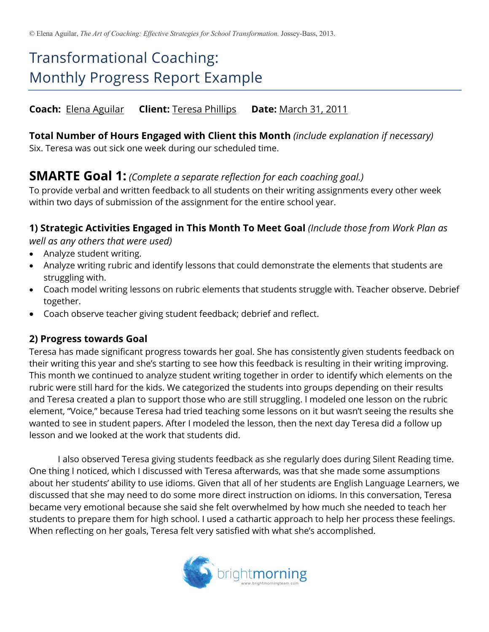# Transformational Coaching: Monthly Progress Report Example

**Coach:** Elena Aguilar **Client:** Teresa Phillips **Date:** March 31, 2011

#### **Total Number of Hours Engaged with Client this Month** *(include explanation if necessary)*

Six. Teresa was out sick one week during our scheduled time.

# **SMARTE Goal 1:** *(Complete a separate reflection for each coaching goal.)*

To provide verbal and written feedback to all students on their writing assignments every other week within two days of submission of the assignment for the entire school year.

### **1) Strategic Activities Engaged in This Month To Meet Goal** *(Include those from Work Plan as*

*well as any others that were used)*

- Analyze student writing.
- Analyze writing rubric and identify lessons that could demonstrate the elements that students are struggling with.
- Coach model writing lessons on rubric elements that students struggle with. Teacher observe. Debrief together.
- Coach observe teacher giving student feedback; debrief and reflect.

#### **2) Progress towards Goal**

Teresa has made significant progress towards her goal. She has consistently given students feedback on their writing this year and she's starting to see how this feedback is resulting in their writing improving. This month we continued to analyze student writing together in order to identify which elements on the rubric were still hard for the kids. We categorized the students into groups depending on their results and Teresa created a plan to support those who are still struggling. I modeled one lesson on the rubric element, "Voice," because Teresa had tried teaching some lessons on it but wasn't seeing the results she wanted to see in student papers. After I modeled the lesson, then the next day Teresa did a follow up lesson and we looked at the work that students did.

I also observed Teresa giving students feedback as she regularly does during Silent Reading time. One thing I noticed, which I discussed with Teresa afterwards, was that she made some assumptions about her students' ability to use idioms. Given that all of her students are English Language Learners, we discussed that she may need to do some more direct instruction on idioms. In this conversation, Teresa became very emotional because she said she felt overwhelmed by how much she needed to teach her students to prepare them for high school. I used a cathartic approach to help her process these feelings. When reflecting on her goals, Teresa felt very satisfied with what she's accomplished.